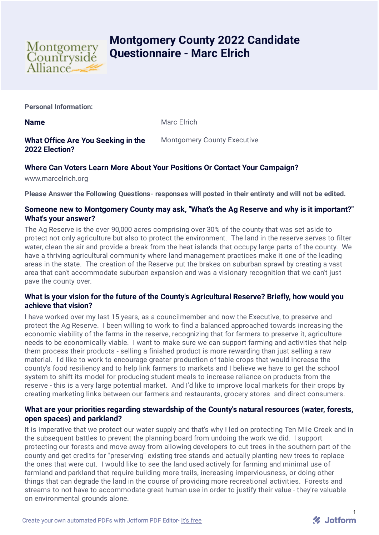

# **Montgomery County 2022 Candidate Questionnaire - Marc Elrich**

**Personal Information:**

**Name** Marc Elrich

## **What Office Are You Seeking in the 2022 Election?**

Montgomery County Executive

## **Where Can Voters Learn More About Your Positions Or Contact Your Campaign?**

www.marcelrich.org

**Please Answer the Following Questions- responses will posted in their entirety and will not be edited.**

#### **Someone new to Montgomery County may ask, "What's the Ag Reserve and why is it important?" What's your answer?**

The Ag Reserve is the over 90,000 acres comprising over 30% of the county that was set aside to protect not only agriculture but also to protect the environment. The land in the reserve serves to filter water, clean the air and provide a break from the heat islands that occupy large parts of the county. We have a thriving agricultural community where land management practices make it one of the leading areas in the state. The creation of the Reserve put the brakes on suburban sprawl by creating a vast area that can't accommodate suburban expansion and was a visionary recognition that we can't just pave the county over.

## **What is your vision for the future of the County's Agricultural Reserve? Briefly, how would you achieve that vision?**

I have worked over my last 15 years, as a councilmember and now the Executive, to preserve and protect the Ag Reserve. I been willing to work to find a balanced approached towards increasing the economic viability of the farms in the reserve, recognizing that for farmers to preserve it, agriculture needs to be economically viable. I want to make sure we can support farming and activities that help them process their products - selling a finished product is more rewarding than just selling a raw material. I'd like to work to encourage greater production of table crops that would increase the county's food resiliency and to help link farmers to markets and I believe we have to get the school system to shift its model for producing student meals to increase reliance on products from the reserve - this is a very large potential market. And I'd like to improve local markets for their crops by creating marketing links between our farmers and restaurants, grocery stores and direct consumers.

#### **What are your priorities regarding stewardship of the County's natural resources (water, forests, open spaces) and parkland?**

It is imperative that we protect our water supply and that's why I led on protecting Ten Mile Creek and in the subsequent battles to prevent the planning board from undoing the work we did. I support protecting our forests and move away from allowing developers to cut trees in the southern part of the county and get credits for "preserving" existing tree stands and actually planting new trees to replace the ones that were cut. I would like to see the land used actively for farming and minimal use of farmland and parkland that require building more trails, increasing imperviousness, or doing other things that can degrade the land in the course of providing more recreational activities. Forests and streams to not have to accommodate great human use in order to justify their value - they're valuable on environmental grounds alone.

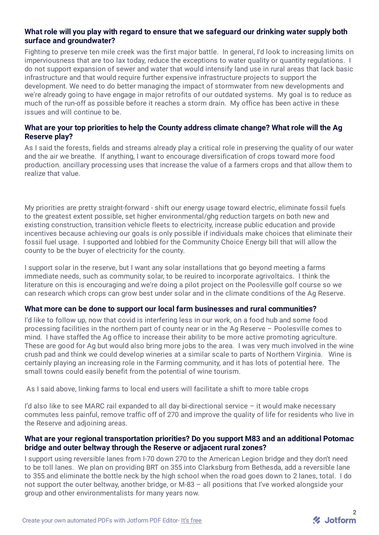## **What role will you play with regard to ensure that we safeguard our drinking water supply both surface and groundwater?**

Fighting to preserve ten mile creek was the first major battle. In general, I'd look to increasing limits on imperviousness that are too lax today, reduce the exceptions to water quality or quantity regulations. I do not support expansion of sewer and water that would intensify land use in rural areas that lack basic infrastructure and that would require further expensive infrastructure projects to support the development. We need to do better managing the impact of stormwater from new developments and we're already going to have engage in major retrofits of our outdated systems. My goal is to reduce as much of the run-off as possible before it reaches a storm drain. My office has been active in these issues and will continue to be.

## **What are your top priorities to help the County address climate change? What role will the Ag Reserve play?**

As I said the forests, fields and streams already play a critical role in preserving the quality of our water and the air we breathe. If anything, I want to encourage diversification of crops toward more food production. ancillary processing uses that increase the value of a farmers crops and that allow them to realize that value.

My priorities are pretty straight-forward - shift our energy usage toward electric, eliminate fossil fuels to the greatest extent possible, set higher environmental/ghg reduction targets on both new and existing construction, transition vehicle fleets to electricity, increase public education and provide incentives because achieving our goals is only possible if individuals make choices that eliminate their fossil fuel usage. I supported and lobbied for the Community Choice Energy bill that will allow the county to be the buyer of electricity for the county.

I support solar in the reserve, but I want any solar installations that go beyond meeting a farms immediate needs, such as community solar, to be reuired to incorporate agrivoltaics. I think the literature on this is encouraging and we're doing a pilot project on the Poolesville golf course so we can research which crops can grow best under solar and in the climate conditions of the Ag Reserve.

#### **What more can be done to support our local farm businesses and rural communities?**

I'd like to follow up, now that covid is interfering less in our work, on a food hub and some food processing facilities in the northern part of county near or in the Ag Reserve – Poolesville comes to mind. I have staffed the Ag office to increase their ability to be more active promoting agriculture. These are good for Ag but would also bring more jobs to the area. I was very much involved in the wine crush pad and think we could develop wineries at a similar scale to parts of Northern Virginia. Wine is certainly playing an increasing role in the Farming community, and it has lots of potential here. The small towns could easily benefit from the potential of wine tourism.

As I said above, linking farms to local end users will facilitate a shift to more table crops

I'd also like to see MARC rail expanded to all day bi-directional service – it would make necessary commutes less painful, remove traffic off of 270 and improve the quality of life for residents who live in the Reserve and adjoining areas.

## **What are your regional transportation priorities? Do you support M83 and an additional Potomac bridge and outer beltway through the Reserve or adjacent rural zones?**

I support using reversible lanes from I-70 down 270 to the American Legion bridge and they don't need to be toll lanes. We plan on providing BRT on 355 into Clarksburg from Bethesda, add a reversible lane to 355 and eliminate the bottle neck by the high school when the road goes down to 2 lanes, total. I do not support the outer beltway, another bridge, or M-83 – all positions that I've worked alongside your group and other environmentalists for many years now.